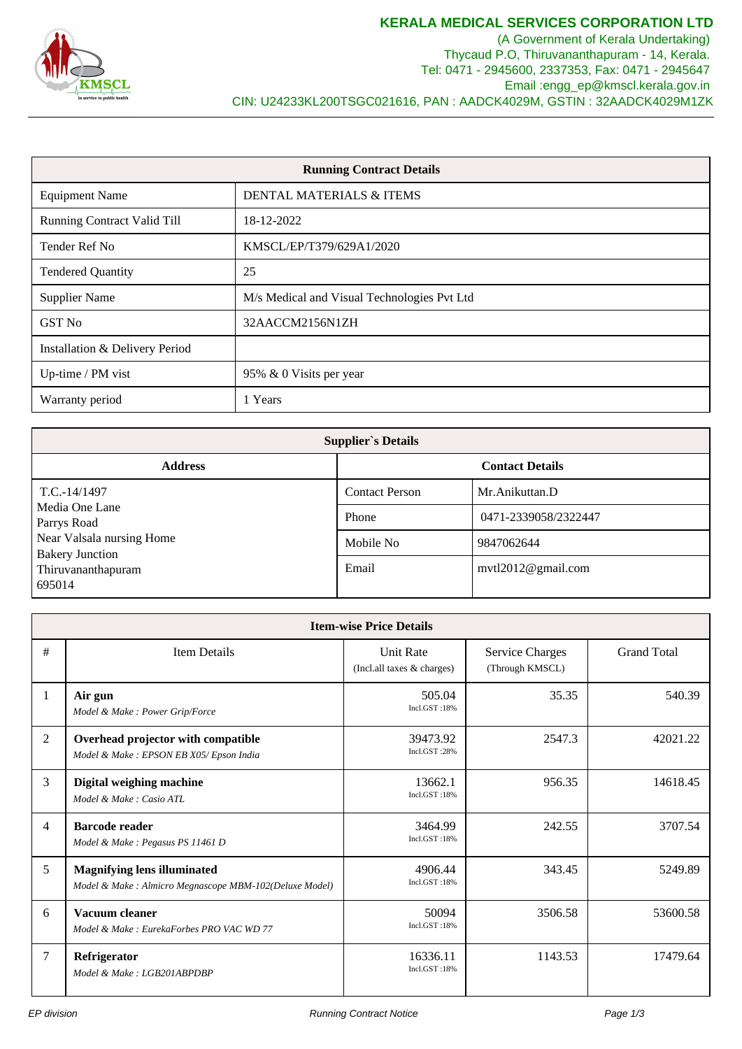

(A Government of Kerala Undertaking) Thycaud P.O, Thiruvananthapuram - 14, Kerala. Tel: 0471 - 2945600, 2337353, Fax: 0471 - 2945647 Email :engg\_ep@kmscl.kerala.gov.in CIN: U24233KL200TSGC021616, PAN : AADCK4029M, GSTIN : 32AADCK4029M1ZK

| <b>Running Contract Details</b>    |                                             |  |
|------------------------------------|---------------------------------------------|--|
| <b>Equipment Name</b>              | DENTAL MATERIALS & ITEMS                    |  |
| <b>Running Contract Valid Till</b> | 18-12-2022                                  |  |
| Tender Ref No                      | KMSCL/EP/T379/629A1/2020                    |  |
| <b>Tendered Quantity</b>           | 25                                          |  |
| <b>Supplier Name</b>               | M/s Medical and Visual Technologies Pvt Ltd |  |
| GST No                             | 32AACCM2156N1ZH                             |  |
| Installation & Delivery Period     |                                             |  |
| Up-time / PM vist                  | 95% & 0 Visits per year                     |  |
| Warranty period                    | 1 Years                                     |  |

| <b>Supplier's Details</b>                           |                       |                        |
|-----------------------------------------------------|-----------------------|------------------------|
| <b>Address</b>                                      |                       | <b>Contact Details</b> |
| $T.C.-14/1497$                                      | <b>Contact Person</b> | Mr. Anikuttan, D       |
| Media One Lane<br>Parrys Road                       | Phone                 | 0471-2339058/2322447   |
| Near Valsala nursing Home<br><b>Bakery Junction</b> | Mobile No             | 9847062644             |
| Thiruvananthapuram<br>695014                        | Email                 | mvtl $2012@$ gmail.com |

| <b>Item-wise Price Details</b> |                                                                                               |                                                |                                           |                    |
|--------------------------------|-----------------------------------------------------------------------------------------------|------------------------------------------------|-------------------------------------------|--------------------|
| #                              | <b>Item Details</b>                                                                           | <b>Unit Rate</b><br>(Incl.all taxes & charges) | <b>Service Charges</b><br>(Through KMSCL) | <b>Grand Total</b> |
| 1                              | Air gun<br>Model & Make: Power Grip/Force                                                     | 505.04<br>Incl.GST:18%                         | 35.35                                     | 540.39             |
| $\overline{2}$                 | Overhead projector with compatible<br>Model & Make : EPSON EB X05/Epson India                 | 39473.92<br>Incl.GST:28%                       | 2547.3                                    | 42021.22           |
| 3                              | Digital weighing machine<br>Model & Make: Casio ATL                                           | 13662.1<br>Incl.GST:18%                        | 956.35                                    | 14618.45           |
| $\overline{4}$                 | <b>Barcode reader</b><br>Model & Make : Pegasus PS 11461 D                                    | 3464.99<br>Incl.GST:18%                        | 242.55                                    | 3707.54            |
| 5                              | <b>Magnifying lens illuminated</b><br>Model & Make : Almicro Megnascope MBM-102(Deluxe Model) | 4906.44<br>Incl.GST:18%                        | 343.45                                    | 5249.89            |
| 6                              | Vacuum cleaner<br>Model & Make: EurekaForbes PRO VAC WD 77                                    | 50094<br>Incl.GST:18%                          | 3506.58                                   | 53600.58           |
| 7                              | Refrigerator<br>Model & Make: LGB201ABPDBP                                                    | 16336.11<br>Incl.GST:18%                       | 1143.53                                   | 17479.64           |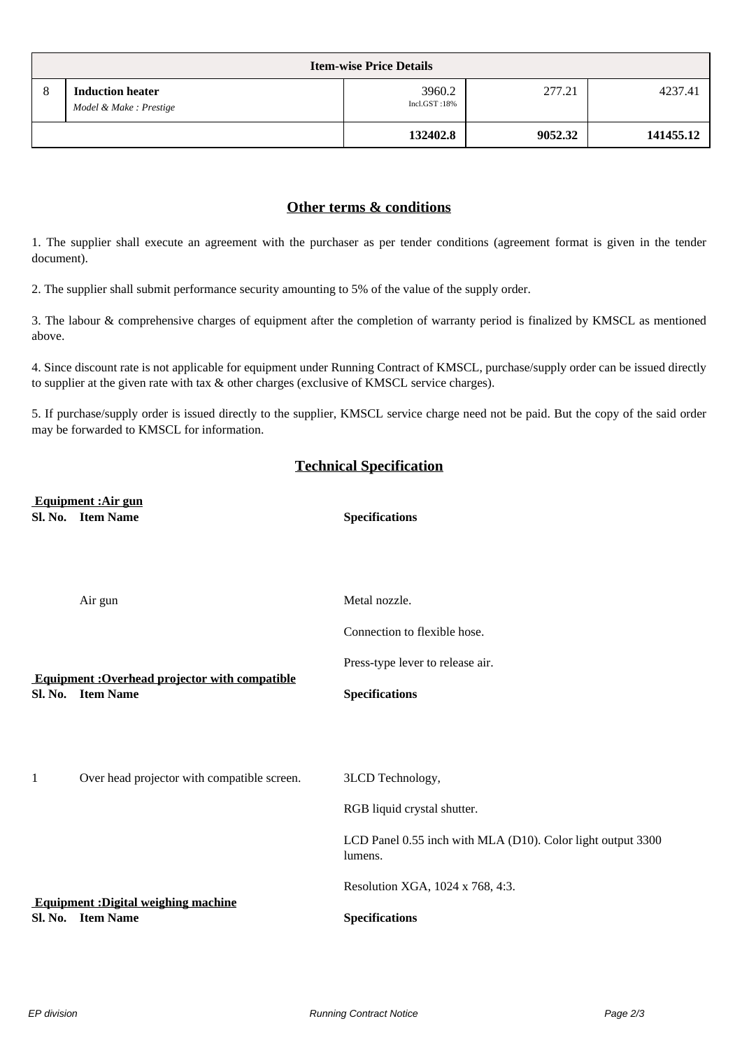| <b>Item-wise Price Details</b> |                                                   |                        |         |           |
|--------------------------------|---------------------------------------------------|------------------------|---------|-----------|
| 8                              | <b>Induction heater</b><br>Model & Make: Prestige | 3960.2<br>Incl.GST:18% | 277.21  | 4237.41   |
|                                |                                                   | 132402.8               | 9052.32 | 141455.12 |

## **Other terms & conditions**

1. The supplier shall execute an agreement with the purchaser as per tender conditions (agreement format is given in the tender document).

2. The supplier shall submit performance security amounting to 5% of the value of the supply order.

3. The labour & comprehensive charges of equipment after the completion of warranty period is finalized by KMSCL as mentioned above.

4. Since discount rate is not applicable for equipment under Running Contract of KMSCL, purchase/supply order can be issued directly to supplier at the given rate with tax & other charges (exclusive of KMSCL service charges).

5. If purchase/supply order is issued directly to the supplier, KMSCL service charge need not be paid. But the copy of the said order may be forwarded to KMSCL for information.

## **Technical Specification**

 **Equipment :Air gun Sl. No. Item Name Specifications**

|         | Air gun                                                        | Metal nozzle.                                                          |
|---------|----------------------------------------------------------------|------------------------------------------------------------------------|
|         |                                                                | Connection to flexible hose.                                           |
|         | <b>Equipment: Overhead projector with compatible</b>           | Press-type lever to release air.                                       |
|         | Sl. No. Item Name                                              | <b>Specifications</b>                                                  |
|         |                                                                |                                                                        |
|         |                                                                |                                                                        |
| 1       | Over head projector with compatible screen.                    | 3LCD Technology,                                                       |
|         |                                                                | RGB liquid crystal shutter.                                            |
|         |                                                                | LCD Panel 0.55 inch with MLA (D10). Color light output 3300<br>lumens. |
|         |                                                                | Resolution XGA, 1024 x 768, 4:3.                                       |
| Sl. No. | <b>Equipment: Digital weighing machine</b><br><b>Item Name</b> | <b>Specifications</b>                                                  |